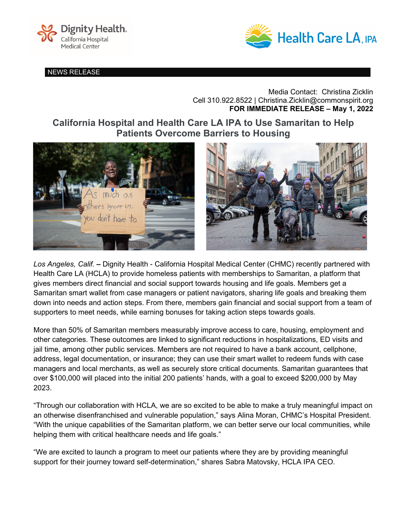

NEWS RELEASE



Media Contact: Christina Zicklin Cell 310.922.8522 | Christina.Zicklin@commonspirit.org **FOR IMMEDIATE RELEASE – May 1, 2022**

**California Hospital and Health Care LA IPA to Use Samaritan to Help Patients Overcome Barriers to Housing**



*Los Angeles, Calif.* **–** Dignity Health - California Hospital Medical Center (CHMC) recently partnered with Health Care LA (HCLA) to provide homeless patients with memberships to Samaritan, a platform that gives members direct financial and social support towards housing and life goals. Members get a Samaritan smart wallet from case managers or patient navigators, sharing life goals and breaking them down into needs and action steps. From there, members gain financial and social support from a team of supporters to meet needs, while earning bonuses for taking action steps towards goals.

More than 50% of Samaritan members measurably improve access to care, housing, employment and other categories. These outcomes are linked to significant reductions in hospitalizations, ED visits and jail time, among other public services. Members are not required to have a bank account, cellphone, address, legal documentation, or insurance; they can use their smart wallet to redeem funds with case managers and local merchants, as well as securely store critical documents. Samaritan guarantees that over \$100,000 will placed into the initial 200 patients' hands, with a goal to exceed \$200,000 by May 2023.

"Through our collaboration with HCLA, we are so excited to be able to make a truly meaningful impact on an otherwise disenfranchised and vulnerable population," says Alina Moran, CHMC's Hospital President. "With the unique capabilities of the Samaritan platform, we can better serve our local communities, while helping them with critical healthcare needs and life goals."

"We are excited to launch a program to meet our patients where they are by providing meaningful support for their journey toward self-determination," shares Sabra Matovsky, HCLA IPA CEO.